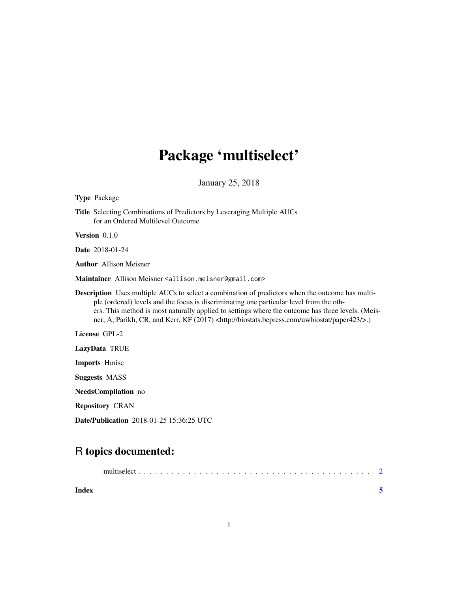## Package 'multiselect'

January 25, 2018

## Type Package Title Selecting Combinations of Predictors by Leveraging Multiple AUCs for an Ordered Multilevel Outcome Version 0.1.0 Date 2018-01-24 Author Allison Meisner Maintainer Allison Meisner <allison.meisner@gmail.com> Description Uses multiple AUCs to select a combination of predictors when the outcome has multiple (ordered) levels and the focus is discriminating one particular level from the others. This method is most naturally applied to settings where the outcome has three levels. (Meisner, A, Parikh, CR, and Kerr, KF (2017) <http://biostats.bepress.com/uwbiostat/paper423/>.) License GPL-2 LazyData TRUE Imports Hmisc Suggests MASS NeedsCompilation no Repository CRAN Date/Publication 2018-01-25 15:36:25 UTC

### R topics documented:

| Index |  |
|-------|--|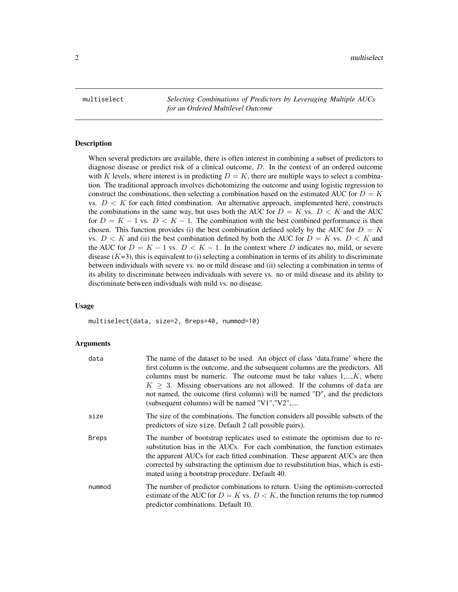<span id="page-1-0"></span>multiselect *Selecting Combinations of Predictors by Leveraging Multiple AUCs for an Ordered Multilevel Outcome*

#### Description

When several predictors are available, there is often interest in combining a subset of predictors to diagnose disease or predict risk of a clinical outcome, D. In the context of an ordered outcome with K levels, where interest is in predicting  $D = K$ , there are multiple ways to select a combination. The traditional approach involves dichotomizing the outcome and using logistic regression to construct the combinations, then selecting a combination based on the estimated AUC for  $D = K$ vs.  $D \leq K$  for each fitted combination. An alternative approach, implemented here, constructs the combinations in the same way, but uses both the AUC for  $D = K$  vs.  $D < K$  and the AUC for  $D = K - 1$  vs.  $D < K - 1$ . The combination with the best combined performance is then chosen. This function provides (i) the best combination defined solely by the AUC for  $D = K$ vs.  $D < K$  and (ii) the best combination defined by both the AUC for  $D = K$  vs.  $D < K$  and the AUC for  $D = K - 1$  vs.  $D \lt K - 1$ . In the context where D indicates no, mild, or severe disease  $(K=3)$ , this is equivalent to (i) selecting a combination in terms of its ability to discriminate between individuals with severe vs. no or mild disease and (ii) selecting a combination in terms of its ability to discriminate between individuals with severe vs. no or mild disease and its ability to discriminate between individuals with mild vs. no disease.

#### Usage

multiselect(data, size=2, Breps=40, nummod=10)

#### Arguments

| data   | The name of the dataset to be used. An object of class 'data.frame' where the<br>first column is the outcome, and the subsequent columns are the predictors. All<br>columns must be numeric. The outcome must be take values $1,,K$ , where<br>$K \geq 3$ . Missing observations are not allowed. If the columns of data are<br>not named, the outcome (first column) will be named "D", and the predictors<br>(subsequent columns) will be named "V1", "V2", |
|--------|---------------------------------------------------------------------------------------------------------------------------------------------------------------------------------------------------------------------------------------------------------------------------------------------------------------------------------------------------------------------------------------------------------------------------------------------------------------|
| size   | The size of the combinations. The function considers all possible subsets of the<br>predictors of size size. Default 2 (all possible pairs).                                                                                                                                                                                                                                                                                                                  |
| Breps  | The number of bootstrap replicates used to estimate the optimism due to re-<br>substitution bias in the AUCs. For each combination, the function estimates<br>the apparent AUCs for each fitted combination. These apparent AUCs are then<br>corrected by substracting the optimism due to resubstitution bias, which is esti-<br>mated using a bootstrap procedure. Default 40.                                                                              |
| nummod | The number of predictor combinations to return. Using the optimism-corrected<br>estimate of the AUC for $D = K$ vs. $D < K$ , the function returns the top nummod<br>predictor combinations. Default 10.                                                                                                                                                                                                                                                      |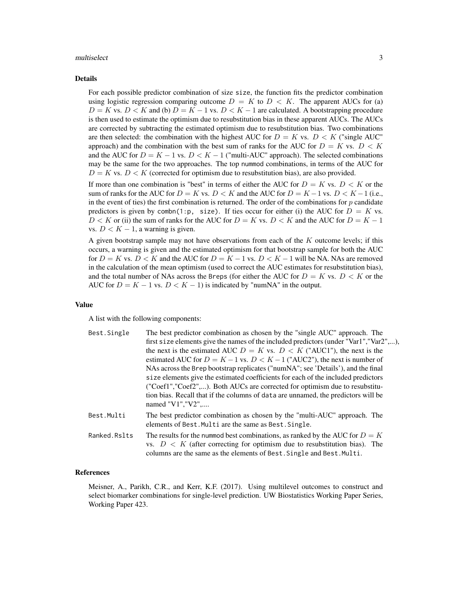#### multiselect 3

#### Details

For each possible predictor combination of size size, the function fits the predictor combination using logistic regression comparing outcome  $D = K$  to  $D \lt K$ . The apparent AUCs for (a)  $D = K$  vs.  $D < K$  and (b)  $D = K - 1$  vs.  $D < K - 1$  are calculated. A bootstrapping procedure is then used to estimate the optimism due to resubstitution bias in these apparent AUCs. The AUCs are corrected by subtracting the estimated optimism due to resubstitution bias. Two combinations are then selected: the combination with the highest AUC for  $D = K$  vs.  $D < K$  ("single AUC" approach) and the combination with the best sum of ranks for the AUC for  $D = K$  vs.  $D < K$ and the AUC for  $D = K - 1$  vs.  $D < K - 1$  ("multi-AUC" approach). The selected combinations may be the same for the two approaches. The top nummod combinations, in terms of the AUC for  $D = K$  vs.  $D < K$  (corrected for optimism due to resubstitution bias), are also provided.

If more than one combination is "best" in terms of either the AUC for  $D = K$  vs.  $D \lt K$  or the sum of ranks for the AUC for  $D = K$  vs.  $D < K$  and the AUC for  $D = K - 1$  vs.  $D < K - 1$  (i.e., in the event of ties) the first combination is returned. The order of the combinations for  $p$  candidate predictors is given by combn(1:p, size). If ties occur for either (i) the AUC for  $D = K$  vs.  $D < K$  or (ii) the sum of ranks for the AUC for  $D = K$  vs.  $D < K$  and the AUC for  $D = K - 1$ vs.  $D < K - 1$ , a warning is given.

A given bootstrap sample may not have observations from each of the  $K$  outcome levels; if this occurs, a warning is given and the estimated optimism for that bootstrap sample for both the AUC for  $D = K$  vs.  $D < K$  and the AUC for  $D = K - 1$  vs.  $D < K - 1$  will be NA. NAs are removed in the calculation of the mean optimism (used to correct the AUC estimates for resubstitution bias), and the total number of NAs across the Breps (for either the AUC for  $D = K$  vs.  $D < K$  or the AUC for  $D = K - 1$  vs.  $D < K - 1$ ) is indicated by "numNA" in the output.

#### Value

A list with the following components:

| Best.Single  | The best predictor combination as chosen by the "single AUC" approach. The                                                                                                                                                               |
|--------------|------------------------------------------------------------------------------------------------------------------------------------------------------------------------------------------------------------------------------------------|
|              | first size elements give the names of the included predictors (under "Var1","Var2",),                                                                                                                                                    |
|              | the next is the estimated AUC $D = K$ vs. $D \lt K$ ("AUC1"), the next is the                                                                                                                                                            |
|              | estimated AUC for $D = K - 1$ vs. $D < K - 1$ ("AUC2"), the next is number of                                                                                                                                                            |
|              | NAs across the Brep bootstrap replicates ("numNA"; see 'Details'), and the final                                                                                                                                                         |
|              | size elements give the estimated coefficients for each of the included predictors                                                                                                                                                        |
|              | ("Coef1","Coef2",). Both AUCs are corrected for optimism due to resubstitu-                                                                                                                                                              |
|              | tion bias. Recall that if the columns of data are unnamed, the predictors will be<br>named " $V1$ ", " $V2$ ",                                                                                                                           |
| Best.Multi   | The best predictor combination as chosen by the "multi-AUC" approach. The<br>elements of Best. Multi are the same as Best. Single.                                                                                                       |
| Ranked.Rslts | The results for the nummod best combinations, as ranked by the AUC for $D = K$<br>vs. $D \lt K$ (after correcting for optimism due to resubstitution bias). The<br>columns are the same as the elements of Best. Single and Best. Multi. |

#### References

Meisner, A., Parikh, C.R., and Kerr, K.F. (2017). Using multilevel outcomes to construct and select biomarker combinations for single-level prediction. UW Biostatistics Working Paper Series, Working Paper 423.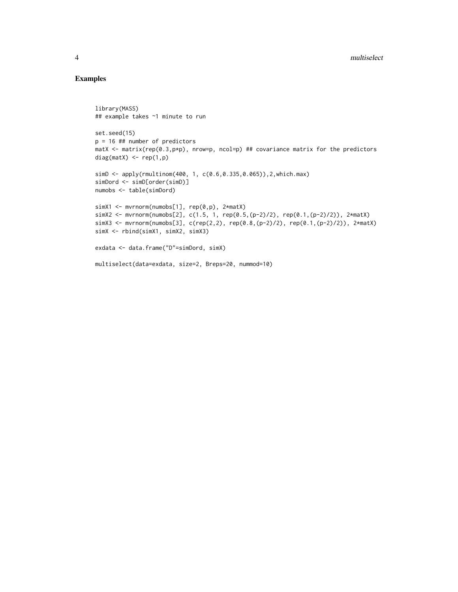#### Examples

```
library(MASS)
## example takes ~1 minute to run
set.seed(15)
p = 16 ## number of predictors
matX \le matrix(rep(0.3, p*p), nrow=p, ncol=p) ## covariance matrix for the predictors
diag(matX) \leq rep(1,p)
simD <- apply(rmultinom(400, 1, c(0.6,0.335,0.065)),2,which.max)
simDord <- simD[order(simD)]
numobs <- table(simDord)
simX1 <- mvrnorm(numobs[1], rep(0,p), 2*matX)
simX2 <- mvrnorm(numobs[2], c(1.5, 1, rep(0.5,(p-2)/2), rep(0.1,(p-2)/2)), 2*matX)
simX3 <- mvrnorm(numobs[3], c(rep(2,2), rep(0.8,(p-2)/2), rep(0.1,(p-2)/2)), 2*matX)
simX <- rbind(simX1, simX2, simX3)
exdata <- data.frame("D"=simDord, simX)
multiselect(data=exdata, size=2, Breps=20, nummod=10)
```